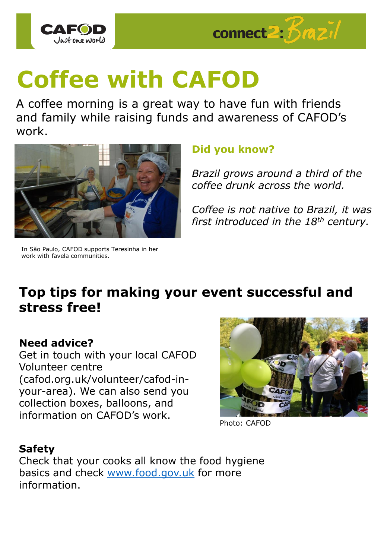



# **Coffee with CAFOD**

A coffee morning is a great way to have fun with friends and family while raising funds and awareness of CAFOD's work.



In São Paulo, CAFOD supports Teresinha in her work with favela communities.

# **Did you know?**

*Brazil grows around a third of the coffee drunk across the world.* 

*Coffee is not native to Brazil, it was first introduced in the 18th century.* 

# **Top tips for making your event successful and stress free!**

## **Need advice?**

Get in touch with your local CAFOD Volunteer centre (cafod.org.uk/volunteer/cafod-inyour-area). We can also send you collection boxes, balloons, and information on CAFOD's work.



Photo: CAFOD

## **Safety**

Check that your cooks all know the food hygiene basics and check [www.food.gov.uk](http://www.food.gov.uk/) for more information.